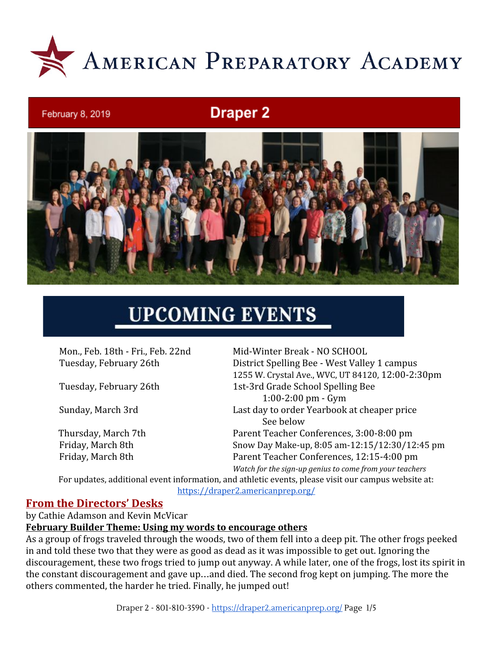

## **Draper 2**



# **UPCOMING EVENTS**

Mon., Feb. 18th - Fri., Feb. 22nd Mid-Winter Break - NO SCHOOL

February 8, 2019

Tuesday, February 26th District Spelling Bee - West Valley 1 campus 1255 W. Crystal Ave., WVC, UT 84120, 12:00-2:30pm Tuesday, February 26th 1st-3rd Grade School Spelling Bee 1:00-2:00 pm - Gym Sunday, March 3rd Last day to order Yearbook at cheaper price See below Thursday, March 7th Parent Teacher Conferences, 3:00-8:00 pm Friday, March 8th Snow Day Make-up, 8:05 am-12:15/12:30/12:45 pm Friday, March 8th Parent Teacher Conferences, 12:15-4:00 pm *Watch for the sign-up genius to come from your teachers*

For updates, additional event information, and athletic events, please visit our campus website at: <https://draper2.americanprep.org/>

#### **From the Directors' Desks**

by Cathie Adamson and Kevin McVicar

#### **February Builder Theme: Using my words to encourage others**

As a group of frogs traveled through the woods, two of them fell into a deep pit. The other frogs peeked in and told these two that they were as good as dead as it was impossible to get out. Ignoring the discouragement, these two frogs tried to jump out anyway. A while later, one of the frogs, lost its spirit in the constant discouragement and gave up…and died. The second frog kept on jumping. The more the others commented, the harder he tried. Finally, he jumped out!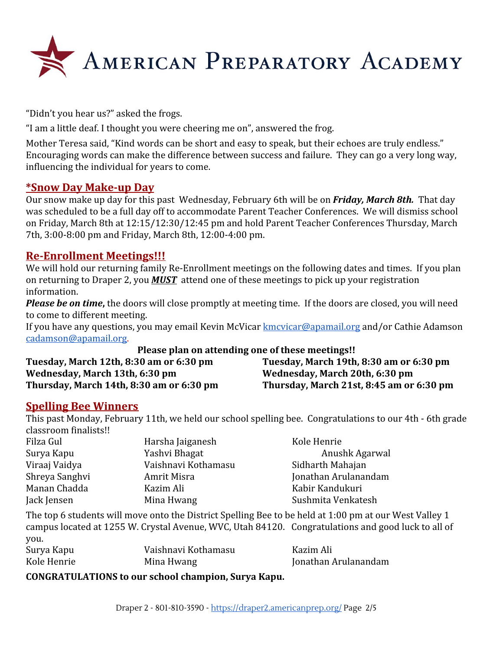

"Didn't you hear us?" asked the frogs.

"I am a little deaf. I thought you were cheering me on", answered the frog.

Mother Teresa said, "Kind words can be short and easy to speak, but their echoes are truly endless." Encouraging words can make the difference between success and failure. They can go a very long way, influencing the individual for years to come.

#### **\*Snow Day Make-up Day**

Our snow make up day for this past Wednesday, February 6th will be on *Friday, March 8th.* That day was scheduled to be a full day off to accommodate Parent Teacher Conferences. We will dismiss school on Friday, March 8th at 12:15/12:30/12:45 pm and hold Parent Teacher Conferences Thursday, March 7th, 3:00-8:00 pm and Friday, March 8th, 12:00-4:00 pm.

## **Re-Enrollment Meetings!!!**

We will hold our returning family Re-Enrollment meetings on the following dates and times. If you plan on returning to Draper 2, you *MUST* attend one of these meetings to pick up your registration information.

*Please be on time***,** the doors will close promptly at meeting time. If the doors are closed, you will need to come to different meeting.

If you have any questions, you may email Kevin McVicar [kmcvicar@apamail.org](mailto:kmcvicar@apamail.org) and/or Cathie Adamson [cadamson@apamail.org](mailto:cadamson@apamail.org).

**Please plan on attending one of these meetings!!**

**Tuesday, March 12th, 8:30 am or 6:30 pm Tuesday, March 19th, 8:30 am or 6:30 pm**

**Thursday, March 14th, 8:30 am or 6:30 pm Thursday, March 21st, 8:45 am or 6:30 pm**

**Wednesday, March 20th, 6:30 pm** 

| Tuesday, March 12th, 8:30 am or 6:30 pm  |
|------------------------------------------|
| Wednesday, March 13th, 6:30 pm           |
| Thursday, March 14th, 8:30 am or 6:30 pm |

### **Spelling Bee Winners**

This past Monday, February 11th, we held our school spelling bee. Congratulations to our 4th - 6th grade classroom finalists!!

| Filza Gul      | Harsha Jaiganesh    | Kole Henrie          |
|----------------|---------------------|----------------------|
| Surya Kapu     | Yashvi Bhagat       | Anushk Agarwal       |
| Viraaj Vaidya  | Vaishnavi Kothamasu | Sidharth Mahajan     |
| Shreya Sanghvi | Amrit Misra         | Jonathan Arulanandam |
| Manan Chadda   | Kazim Ali           | Kabir Kandukuri      |
| Jack Jensen    | Mina Hwang          | Sushmita Venkatesh   |
|                |                     |                      |

The top 6 students will move onto the District Spelling Bee to be held at 1:00 pm at our West Valley 1 campus located at 1255 W. Crystal Avenue, WVC, Utah 84120. Congratulations and good luck to all of you.

| Surya Kapu  | Vaishnavi Kothamasu | Kazim Ali            |
|-------------|---------------------|----------------------|
| Kole Henrie | Mina Hwang          | Jonathan Arulanandam |

**CONGRATULATIONS to our school champion, Surya Kapu.**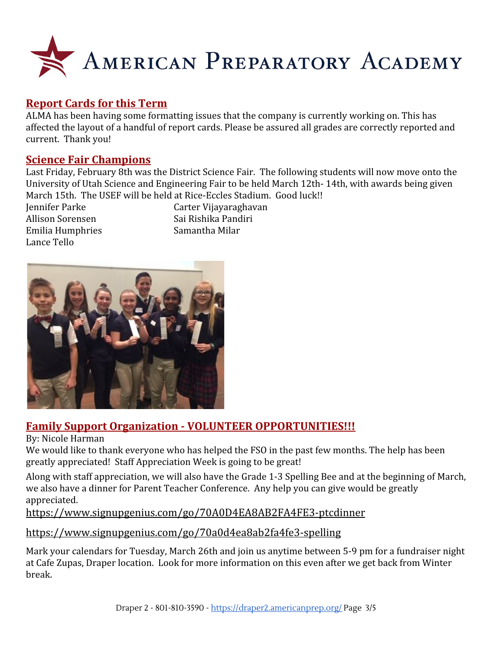

## **Report Cards for this Term**

ALMA has been having some formatting issues that the company is currently working on. This has affected the layout of a handful of report cards. Please be assured all grades are correctly reported and current. Thank you!

#### **Science Fair Champions**

Last Friday, February 8th was the District Science Fair. The following students will now move onto the University of Utah Science and Engineering Fair to be held March 12th- 14th, with awards being given March 15th. The USEF will be held at Rice-Eccles Stadium. Good luck!!

Emilia Humphries Samantha Milar Lance Tello

Jennifer Parke Carter Vijayaraghavan Allison Sorensen Sai Rishika Pandiri



## **Family Support Organization - VOLUNTEER OPPORTUNITIES!!!**

#### By: Nicole Harman

We would like to thank everyone who has helped the FSO in the past few months. The help has been greatly appreciated! Staff Appreciation Week is going to be great!

Along with staff appreciation, we will also have the Grade 1-3 Spelling Bee and at the beginning of March, we also have a dinner for Parent Teacher Conference. Any help you can give would be greatly appreciated.

<https://www.signupgenius.com/go/70A0D4EA8AB2FA4FE3-ptcdinner>

#### <https://www.signupgenius.com/go/70a0d4ea8ab2fa4fe3-spelling>

Mark your calendars for Tuesday, March 26th and join us anytime between 5-9 pm for a fundraiser night at Cafe Zupas, Draper location. Look for more information on this even after we get back from Winter break.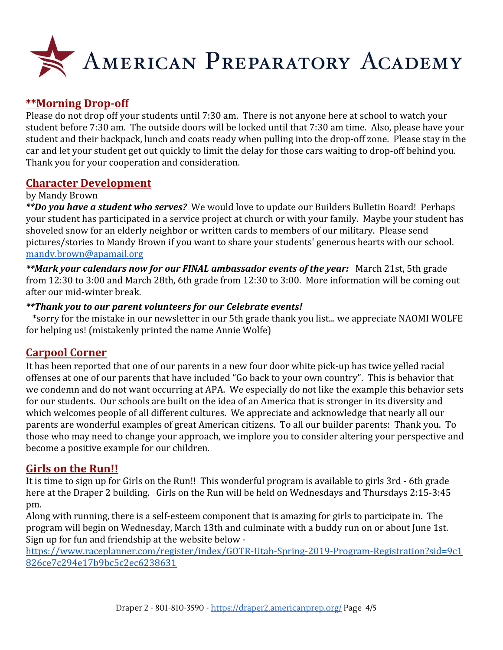

## **\*\*Morning Drop-off**

Please do not drop off your students until 7:30 am. There is not anyone here at school to watch your student before 7:30 am. The outside doors will be locked until that 7:30 am time. Also, please have your student and their backpack, lunch and coats ready when pulling into the drop-off zone. Please stay in the car and let your student get out quickly to limit the delay for those cars waiting to drop-off behind you. Thank you for your cooperation and consideration.

## **Character Development**

#### by Mandy Brown

*\*\*Do you have a student who serves?* We would love to update our Builders Bulletin Board! Perhaps your student has participated in a service project at church or with your family. Maybe your student has shoveled snow for an elderly neighbor or written cards to members of our military. Please send pictures/stories to Mandy Brown if you want to share your students' generous hearts with our school. [mandy.brown@apamail.org](mailto:mandy.brown@apamail.org)

*\*\*Mark your calendars now for our FINAL ambassador events of the year:* March 21st, 5th grade from 12:30 to 3:00 and March 28th, 6th grade from 12:30 to 3:00. More information will be coming out after our mid-winter break.

#### *\*\*Thank you to our parent volunteers for our Celebrate events!*

\*sorry for the mistake in our newsletter in our 5th grade thank you list... we appreciate NAOMI WOLFE for helping us! (mistakenly printed the name Annie Wolfe)

## **Carpool Corner**

It has been reported that one of our parents in a new four door white pick-up has twice yelled racial offenses at one of our parents that have included "Go back to your own country". This is behavior that we condemn and do not want occurring at APA. We especially do not like the example this behavior sets for our students. Our schools are built on the idea of an America that is stronger in its diversity and which welcomes people of all different cultures. We appreciate and acknowledge that nearly all our parents are wonderful examples of great American citizens. To all our builder parents: Thank you. To those who may need to change your approach, we implore you to consider altering your perspective and become a positive example for our children.

## **Girls on the Run!!**

It is time to sign up for Girls on the Run!! This wonderful program is available to girls 3rd - 6th grade here at the Draper 2 building. Girls on the Run will be held on Wednesdays and Thursdays 2:15-3:45 pm.

Along with running, there is a self-esteem component that is amazing for girls to participate in. The program will begin on Wednesday, March 13th and culminate with a buddy run on or about June 1st. Sign up for fun and friendship at the website below -

[https://www.raceplanner.com/register/index/GOTR-Utah-Spring-2019-Program-Registration?sid=9c1](https://www.raceplanner.com/register/index/GOTR-Utah-Spring-2019-Program-Registration?sid=9c1826ce7c294e17b9bc5c2ec6238631) [826ce7c294e17b9bc5c2ec6238631](https://www.raceplanner.com/register/index/GOTR-Utah-Spring-2019-Program-Registration?sid=9c1826ce7c294e17b9bc5c2ec6238631)